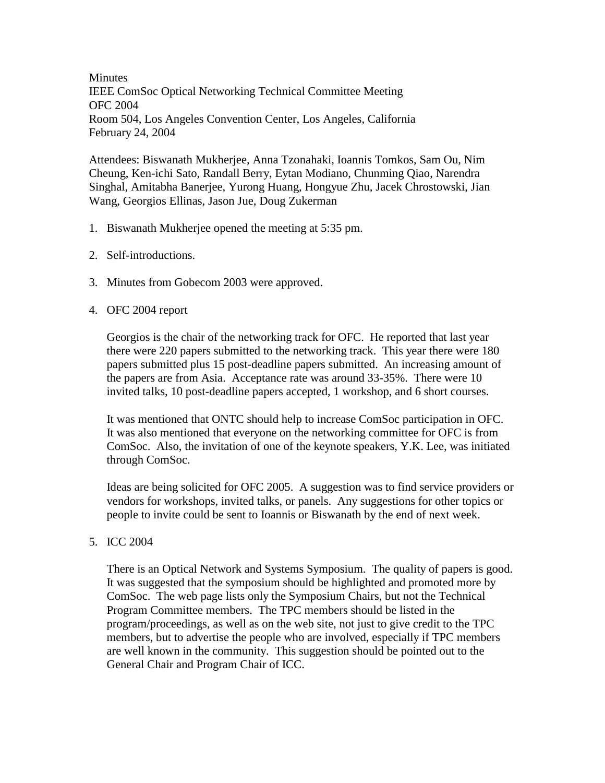**Minutes** IEEE ComSoc Optical Networking Technical Committee Meeting OFC 2004 Room 504, Los Angeles Convention Center, Los Angeles, California February 24, 2004

Attendees: Biswanath Mukherjee, Anna Tzonahaki, Ioannis Tomkos, Sam Ou, Nim Cheung, Ken-ichi Sato, Randall Berry, Eytan Modiano, Chunming Qiao, Narendra Singhal, Amitabha Banerjee, Yurong Huang, Hongyue Zhu, Jacek Chrostowski, Jian Wang, Georgios Ellinas, Jason Jue, Doug Zukerman

- 1. Biswanath Mukherjee opened the meeting at 5:35 pm.
- 2. Self-introductions.
- 3. Minutes from Gobecom 2003 were approved.

# 4. OFC 2004 report

Georgios is the chair of the networking track for OFC. He reported that last year there were 220 papers submitted to the networking track. This year there were 180 papers submitted plus 15 post-deadline papers submitted. An increasing amount of the papers are from Asia. Acceptance rate was around 33-35%. There were 10 invited talks, 10 post-deadline papers accepted, 1 workshop, and 6 short courses.

It was mentioned that ONTC should help to increase ComSoc participation in OFC. It was also mentioned that everyone on the networking committee for OFC is from ComSoc. Also, the invitation of one of the keynote speakers, Y.K. Lee, was initiated through ComSoc.

Ideas are being solicited for OFC 2005. A suggestion was to find service providers or vendors for workshops, invited talks, or panels. Any suggestions for other topics or people to invite could be sent to Ioannis or Biswanath by the end of next week.

### 5. ICC 2004

There is an Optical Network and Systems Symposium. The quality of papers is good. It was suggested that the symposium should be highlighted and promoted more by ComSoc. The web page lists only the Symposium Chairs, but not the Technical Program Committee members. The TPC members should be listed in the program/proceedings, as well as on the web site, not just to give credit to the TPC members, but to advertise the people who are involved, especially if TPC members are well known in the community. This suggestion should be pointed out to the General Chair and Program Chair of ICC.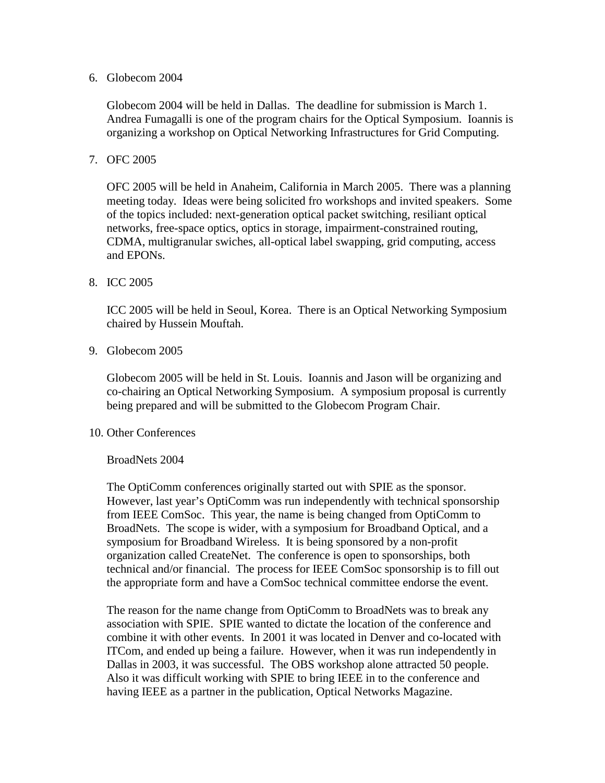#### 6. Globecom 2004

Globecom 2004 will be held in Dallas. The deadline for submission is March 1. Andrea Fumagalli is one of the program chairs for the Optical Symposium. Ioannis is organizing a workshop on Optical Networking Infrastructures for Grid Computing.

## 7. OFC 2005

OFC 2005 will be held in Anaheim, California in March 2005. There was a planning meeting today. Ideas were being solicited fro workshops and invited speakers. Some of the topics included: next-generation optical packet switching, resiliant optical networks, free-space optics, optics in storage, impairment-constrained routing, CDMA, multigranular swiches, all-optical label swapping, grid computing, access and EPONs.

### 8. ICC 2005

ICC 2005 will be held in Seoul, Korea. There is an Optical Networking Symposium chaired by Hussein Mouftah.

9. Globecom 2005

Globecom 2005 will be held in St. Louis. Ioannis and Jason will be organizing and co-chairing an Optical Networking Symposium. A symposium proposal is currently being prepared and will be submitted to the Globecom Program Chair.

### 10. Other Conferences

### BroadNets 2004

The OptiComm conferences originally started out with SPIE as the sponsor. However, last year's OptiComm was run independently with technical sponsorship from IEEE ComSoc. This year, the name is being changed from OptiComm to BroadNets. The scope is wider, with a symposium for Broadband Optical, and a symposium for Broadband Wireless. It is being sponsored by a non-profit organization called CreateNet. The conference is open to sponsorships, both technical and/or financial. The process for IEEE ComSoc sponsorship is to fill out the appropriate form and have a ComSoc technical committee endorse the event.

The reason for the name change from OptiComm to BroadNets was to break any association with SPIE. SPIE wanted to dictate the location of the conference and combine it with other events. In 2001 it was located in Denver and co-located with ITCom, and ended up being a failure. However, when it was run independently in Dallas in 2003, it was successful. The OBS workshop alone attracted 50 people. Also it was difficult working with SPIE to bring IEEE in to the conference and having IEEE as a partner in the publication, Optical Networks Magazine.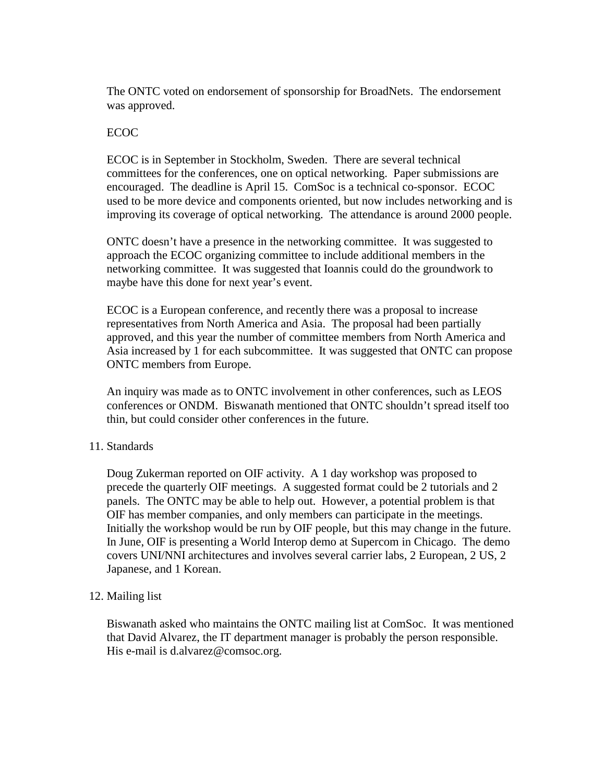The ONTC voted on endorsement of sponsorship for BroadNets. The endorsement was approved.

## ECOC

ECOC is in September in Stockholm, Sweden. There are several technical committees for the conferences, one on optical networking. Paper submissions are encouraged. The deadline is April 15. ComSoc is a technical co-sponsor. ECOC used to be more device and components oriented, but now includes networking and is improving its coverage of optical networking. The attendance is around 2000 people.

ONTC doesn't have a presence in the networking committee. It was suggested to approach the ECOC organizing committee to include additional members in the networking committee. It was suggested that Ioannis could do the groundwork to maybe have this done for next year's event.

ECOC is a European conference, and recently there was a proposal to increase representatives from North America and Asia. The proposal had been partially approved, and this year the number of committee members from North America and Asia increased by 1 for each subcommittee. It was suggested that ONTC can propose ONTC members from Europe.

An inquiry was made as to ONTC involvement in other conferences, such as LEOS conferences or ONDM. Biswanath mentioned that ONTC shouldn't spread itself too thin, but could consider other conferences in the future.

### 11. Standards

Doug Zukerman reported on OIF activity. A 1 day workshop was proposed to precede the quarterly OIF meetings. A suggested format could be 2 tutorials and 2 panels. The ONTC may be able to help out. However, a potential problem is that OIF has member companies, and only members can participate in the meetings. Initially the workshop would be run by OIF people, but this may change in the future. In June, OIF is presenting a World Interop demo at Supercom in Chicago. The demo covers UNI/NNI architectures and involves several carrier labs, 2 European, 2 US, 2 Japanese, and 1 Korean.

### 12. Mailing list

Biswanath asked who maintains the ONTC mailing list at ComSoc. It was mentioned that David Alvarez, the IT department manager is probably the person responsible. His e-mail is d.alvarez@comsoc.org.